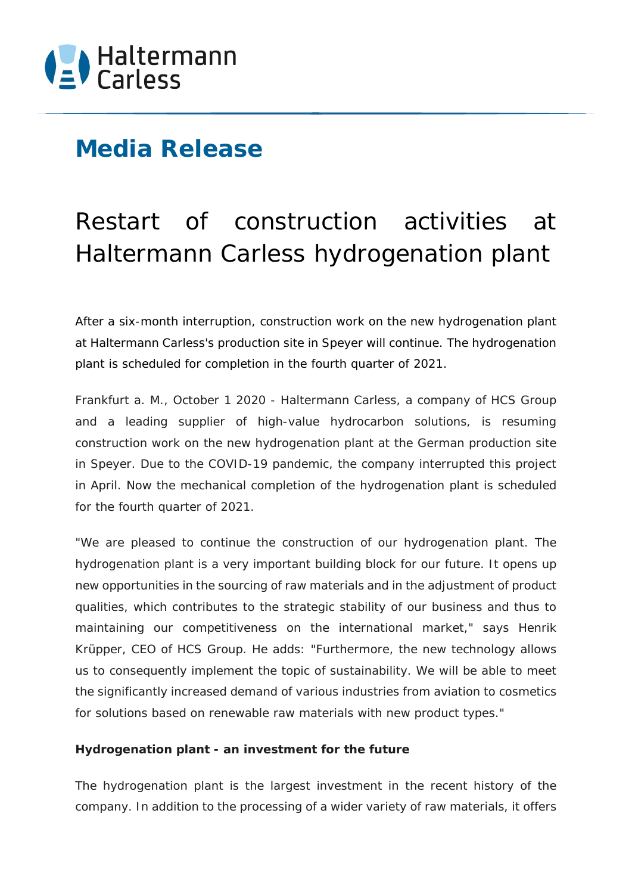## **Media Release**

# Restart of construction activities at Haltermann Carless hydrogenation plant

*After a six-month interruption, construction work on the new hydrogenation plant at Haltermann Carless's production site in Speyer will continue. The hydrogenation plant is scheduled for completion in the fourth quarter of 2021.*

*Frankfurt a. M., October 1 2020 -* Haltermann Carless, a company of HCS Group and a leading supplier of high-value hydrocarbon solutions, is resuming construction work on the new hydrogenation plant at the German production site in Speyer. Due to the COVID-19 pandemic, the company interrupted this project in April. Now the mechanical completion of the hydrogenation plant is scheduled for the fourth quarter of 2021.

"We are pleased to continue the construction of our hydrogenation plant. The hydrogenation plant is a very important building block for our future. It opens up new opportunities in the sourcing of raw materials and in the adjustment of product qualities, which contributes to the strategic stability of our business and thus to maintaining our competitiveness on the international market," says Henrik Krüpper, CEO of HCS Group. He adds: "Furthermore, the new technology allows us to consequently implement the topic of sustainability. We will be able to meet the significantly increased demand of various industries from aviation to cosmetics for solutions based on renewable raw materials with new product types."

### **Hydrogenation plant - an investment for the future**

The hydrogenation plant is the largest investment in the recent history of the company. In addition to the processing of a wider variety of raw materials, it offers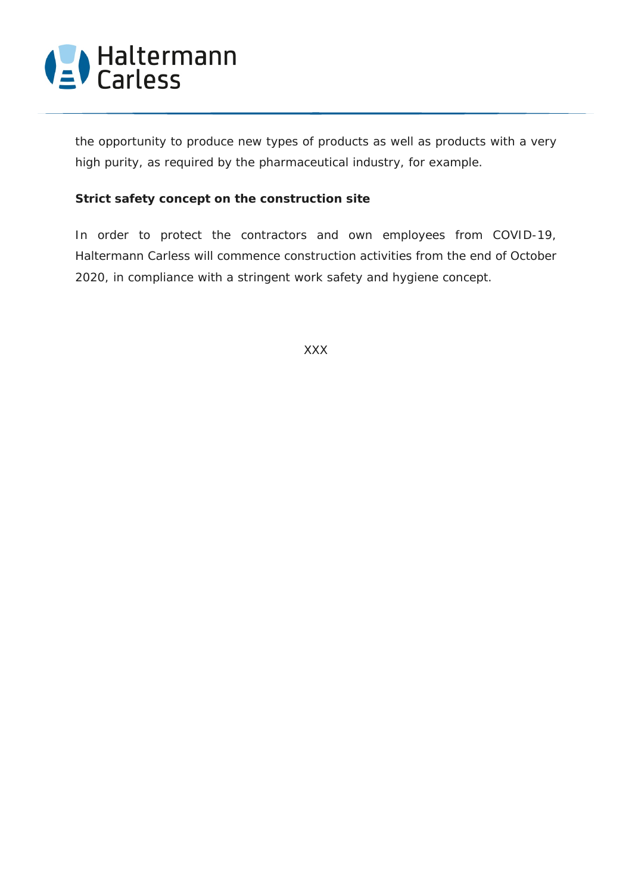

the opportunity to produce new types of products as well as products with a very high purity, as required by the pharmaceutical industry, for example.

#### **Strict safety concept on the construction site**

In order to protect the contractors and own employees from COVID-19, Haltermann Carless will commence construction activities from the end of October 2020, in compliance with a stringent work safety and hygiene concept.

XXX